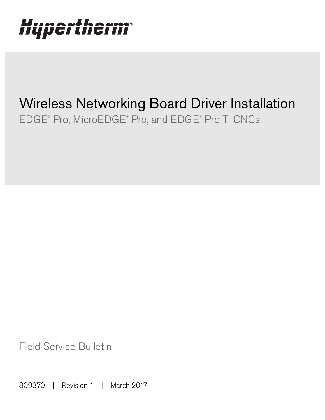## **HIIMAWIAANMAR** IIYµGI LIIGI I

# Wireless Networking Board Driver Installation EDGE® Pro, MicroEDGE® Pro, and EDGE® Pro Ti CNCs

Field Service Bulletin

809370 | Revision 1 | March 2017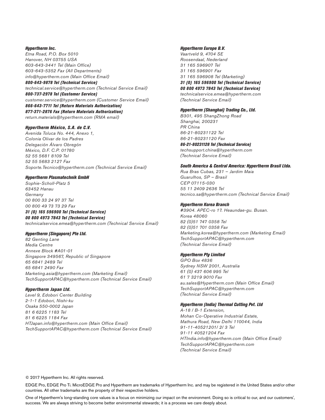#### Hypertherm Inc.

Etna Road, P.O. Box 5010 Hanover, NH 03755 USA 603-643-3441 Tel (Main Office) 603-643-5352 Fax (All Departments) info@hypertherm.com (Main Office Email) 800-643-9878 Tel (Technical Service) technical.service@hypertherm.com (Technical Service Email) 800-737-2978 Tel (Customer Service)

customer.service@hypertherm.com (Customer Service Email) 866-643-7711 Tel (Return Materials Authorization) 877-371-2876 Fax (Return Materials Authorization) return.materials@hypertherm.com (RMA email)

Hypertherm México, S.A. de C.V.

Avenida Toluca No. 444, Anexo 1, Colonia Olivar de los Padres Delegación Álvaro Obregón México, D.F. C.P. 01780 52 55 5681 8109 Tel 52 55 5683 2127 Fax Soporte.Tecnico@hypertherm.com (Technical Service Email)

#### Hypertherm Plasmatechnik GmbH

Sophie-Scholl-Platz 5 63452 Hanau Germany 00 800 33 24 97 37 Tel 00 800 49 73 73 29 Fax 31 (0) 165 596900 Tel (Technical Service) 00 800 4973 7843 Tel (Technical Service) technicalservice.emea@hypertherm.com (Technical Service Email)

#### Hypertherm (Singapore) Pte Ltd.

82 Genting Lane Media Centre Annexe Block #A01-01 Singapore 349567, Republic of Singapore 65 6841 2489 Tel 65 6841 2490 Fax Marketing.asia@hypertherm.com (Marketing Email) TechSupportAPAC@hypertherm.com (Technical Service Email)

#### Hypertherm Japan Ltd.

Level 9, Edobori Center Building 2-1-1 Edobori, Nishi-ku Osaka 550-0002 Japan 81 6 6225 1183 Tel 81 6 6225 1184 Fax HTJapan.info@hypertherm.com (Main Office Email) TechSupportAPAC@hypertherm.com (Technical Service Email)

#### Hypertherm Europe B.V.

Vaartveld 9, 4704 SE Roosendaal, Nederland 31 165 596907 Tel 31 165 596901 Fax 31 165 596908 Tel (Marketing) 31 (0) 165 596900 Tel (Technical Service) 00 800 4973 7843 Tel (Technical Service)

technicalservice.emea@hypertherm.com (Technical Service Email)

#### Hypertherm (Shanghai) Trading Co., Ltd.

B301, 495 ShangZhong Road Shanghai, 200231 PR China 86-21-80231122 Tel 86-21-80231120 Fax 86-21-80231128 Tel (Technical Service)

techsupport.china@hypertherm.com (Technical Service Email)

#### South America & Central America: Hypertherm Brasil Ltda.

Rua Bras Cubas, 231 – Jardim Maia Guarulhos, SP – Brasil CEP 07115-030 55 11 2409 2636 Tel tecnico.sa@hypertherm.com (Technical Service Email)

#### Hypertherm Korea Branch

#3904. APEC-ro 17. Heaundae-gu. Busan. Korea 48060 82 (0)51 747 0358 Tel 82 (0)51 701 0358 Fax Marketing.korea@hypertherm.com (Marketing Email) TechSupportAPAC@hypertherm.com (Technical Service Email)

#### Hypertherm Pty Limited

GPO Box 4836 Sydney NSW 2001, Australia 61 (0) 437 606 995 Tel 61 7 3219 9010 Fax au.sales@Hypertherm.com (Main Office Email) TechSupportAPAC@hypertherm.com (Technical Service Email)

#### Hypertherm (India) Thermal Cutting Pvt. Ltd

A-18 / B-1 Extension, Mohan Co-Operative Industrial Estate, Mathura Road, New Delhi 110044, India 91-11-40521201/ 2/ 3 Tel 91-11 40521204 Fax HTIndia.info@hypertherm.com (Main Office Email) TechSupportAPAC@hypertherm.com (Technical Service Email)

© 2017 Hypertherm Inc. All rights reserved.

EDGE Pro, EDGE Pro Ti. MicroEDGE Pro and Hypertherm are trademarks of Hypertherm Inc. and may be registered in the United States and/or other countries. All other trademarks are the property of their respective holders.

One of Hypertherm's long-standing core values is a focus on minimizing our impact on the environment. Doing so is critical to our, and our customers', success. We are always striving to become better environmental stewards; it is a process we care deeply about.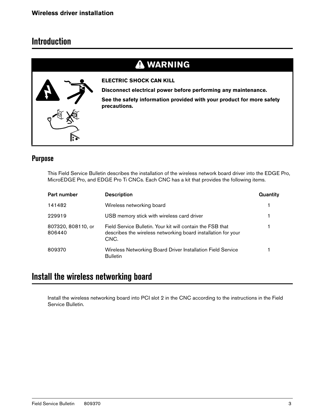### **Introduction**

### **WARNING**



**ELECTRIC SHOCK CAN KILL**

**Disconnect electrical power before performing any maintenance.**

**See the safety information provided with your product for more safety precautions.**

### **Purpose**

This Field Service Bulletin describes the installation of the wireless network board driver into the EDGE Pro, MicroEDGE Pro, and EDGE Pro Ti CNCs. Each CNC has a kit that provides the following items.

| Part number                  | <b>Description</b>                                                                                                                  | Quantity |
|------------------------------|-------------------------------------------------------------------------------------------------------------------------------------|----------|
| 141482                       | Wireless networking board                                                                                                           |          |
| 229919                       | USB memory stick with wireless card driver                                                                                          |          |
| 807320, 808110, or<br>806440 | Field Service Bulletin. Your kit will contain the FSB that<br>describes the wireless networking board installation for your<br>CNC. |          |
| 809370                       | Wireless Networking Board Driver Installation Field Service<br><b>Bulletin</b>                                                      |          |

### **Install the wireless networking board**

Install the wireless networking board into PCI slot 2 in the CNC according to the instructions in the Field Service Bulletin.